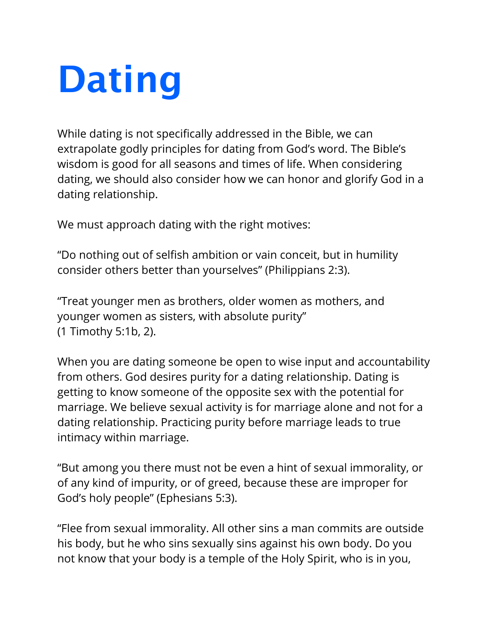## **Dating**

While dating is not specifically addressed in the Bible, we can extrapolate godly principles for dating from God's word. The Bible's wisdom is good for all seasons and times of life. When considering dating, we should also consider how we can honor and glorify God in a dating relationship.

We must approach dating with the right motives:

"Do nothing out of selfish ambition or vain conceit, but in humility consider others better than yourselves" (Philippians 2:3).

"Treat younger men as brothers, older women as mothers, and younger women as sisters, with absolute purity" (1 Timothy 5:1b, 2).

When you are dating someone be open to wise input and accountability from others. God desires purity for a dating relationship. Dating is getting to know someone of the opposite sex with the potential for marriage. We believe sexual activity is for marriage alone and not for a dating relationship. Practicing purity before marriage leads to true intimacy within marriage.

"But among you there must not be even a hint of sexual immorality, or of any kind of impurity, or of greed, because these are improper for God's holy people" (Ephesians 5:3).

"Flee from sexual immorality. All other sins a man commits are outside his body, but he who sins sexually sins against his own body. Do you not know that your body is a temple of the Holy Spirit, who is in you,